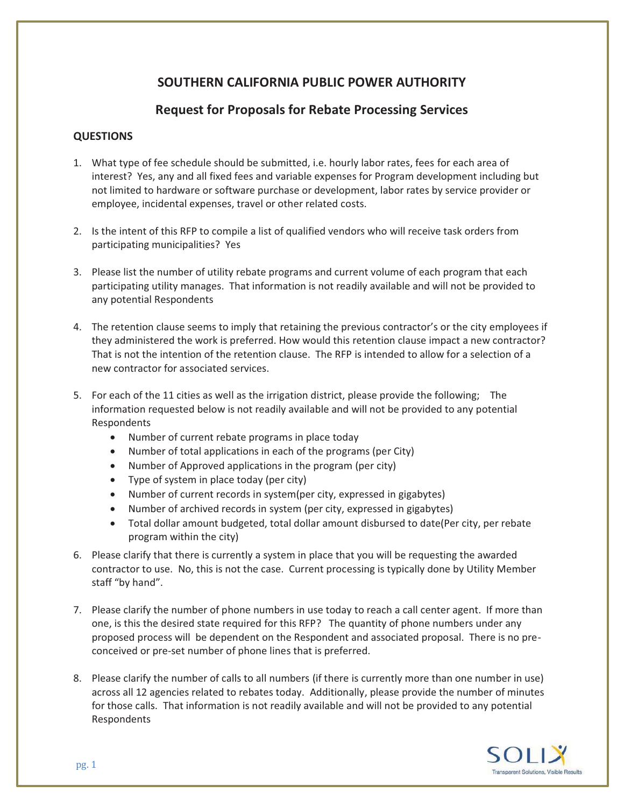## **SOUTHERN CALIFORNIA PUBLIC POWER AUTHORITY**

## **Request for Proposals for Rebate Processing Services**

## **QUESTIONS**

- 1. What type of fee schedule should be submitted, i.e. hourly labor rates, fees for each area of interest? Yes, any and all fixed fees and variable expenses for Program development including but not limited to hardware or software purchase or development, labor rates by service provider or employee, incidental expenses, travel or other related costs.
- 2. Is the intent of this RFP to compile a list of qualified vendors who will receive task orders from participating municipalities? Yes
- 3. Please list the number of utility rebate programs and current volume of each program that each participating utility manages. That information is not readily available and will not be provided to any potential Respondents
- 4. The retention clause seems to imply that retaining the previous contractor's or the city employees if they administered the work is preferred. How would this retention clause impact a new contractor? That is not the intention of the retention clause. The RFP is intended to allow for a selection of a new contractor for associated services.
- 5. For each of the 11 cities as well as the irrigation district, please provide the following; The information requested below is not readily available and will not be provided to any potential Respondents
	- Number of current rebate programs in place today
	- Number of total applications in each of the programs (per City)
	- Number of Approved applications in the program (per city)
	- Type of system in place today (per city)
	- Number of current records in system(per city, expressed in gigabytes)
	- Number of archived records in system (per city, expressed in gigabytes)
	- Total dollar amount budgeted, total dollar amount disbursed to date(Per city, per rebate program within the city)
- 6. Please clarify that there is currently a system in place that you will be requesting the awarded contractor to use. No, this is not the case. Current processing is typically done by Utility Member staff "by hand".
- 7. Please clarify the number of phone numbers in use today to reach a call center agent. If more than one, is this the desired state required for this RFP? The quantity of phone numbers under any proposed process will be dependent on the Respondent and associated proposal. There is no preconceived or pre-set number of phone lines that is preferred.
- 8. Please clarify the number of calls to all numbers (if there is currently more than one number in use) across all 12 agencies related to rebates today. Additionally, please provide the number of minutes for those calls. That information is not readily available and will not be provided to any potential Respondents